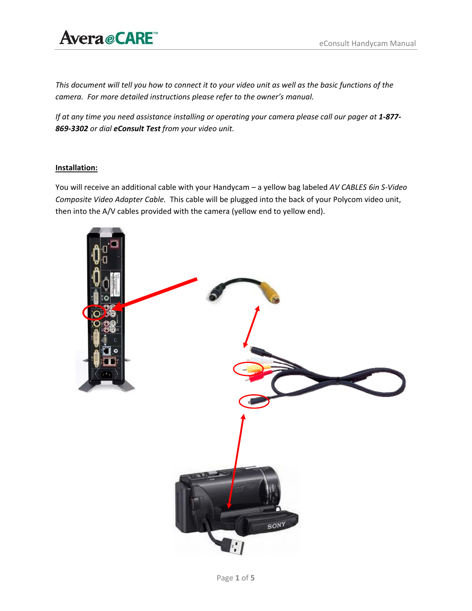### Avera@CARE

This document will tell you how to connect it to your video unit as well as the basic functions of the *camera. For more detailed instructions please refer to the owner's manual.*

If at any time you need assistance installing or operating your camera please call our pager at 1-877-*869‐3302 or dial eConsult Test from your video unit.*

### **Installation:**

You will receive an additional cable with your Handycam – a yellow bag labeled *AV CABLES 6in S‐Video Composite Video Adapter Cable.* This cable will be plugged into the back of your Polycom video unit, then into the A/V cables provided with the camera (yellow end to yellow end).

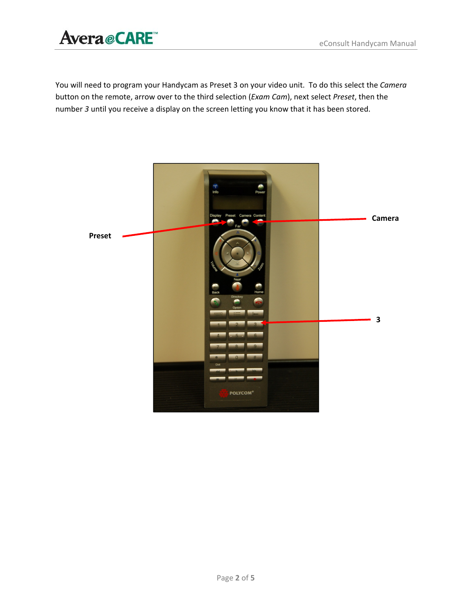### Avera *e* CARE<sup>"</sup> eConsult Handycam Manual

You will need to program your Handycam as Preset 3 on your video unit. To do this select the *Camera* button on the remote, arrow over to the third selection (*Exam Cam*), next select *Preset*, then the number *3* until you receive a display on the screen letting you know that it has been stored.

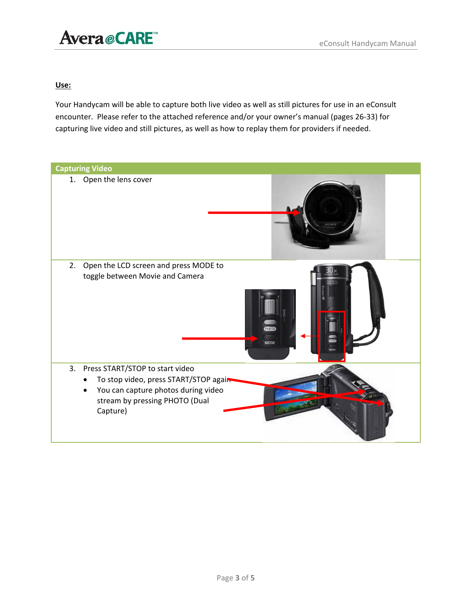## Avera *e* CARE<sup>"</sup> eConsult Handycam Manual

### **Use:**

Your Handycam will be able to capture both live video as well as still pictures for use in an eConsult encounter. Please refer to the attached reference and/or your owner's manual (pages 26‐33) for capturing live video and still pictures, as well as how to replay them for providers if needed.

| <b>Capturing Video</b>                                                                                                                                               |  |
|----------------------------------------------------------------------------------------------------------------------------------------------------------------------|--|
| 1. Open the lens cover                                                                                                                                               |  |
| 2.<br>Open the LCD screen and press MODE to<br>toggle between Movie and Camera<br><b>РНОТО</b><br><b>MODE</b>                                                        |  |
| 3.<br>Press START/STOP to start video<br>To stop video, press START/STOP agair-<br>You can capture photos during video<br>stream by pressing PHOTO (Dual<br>Capture) |  |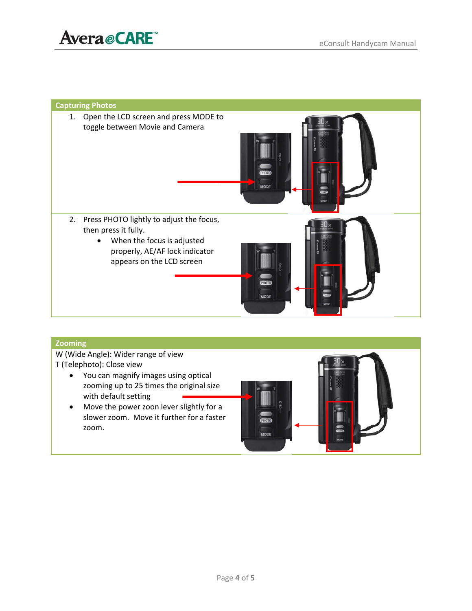

# **Capturing Photos** 1. Open the LCD screen and press MODE to toggle between Movie and Camera 2. Press PHOTO lightly to adjust the focus, then press it fully. When the focus is adjusted properly, AE/AF lock indicator appears on the LCD screen

#### **Zooming**

W (Wide Angle): Wider range of view T (Telephoto): Close view

- You can magnify images using optical zooming up to 25 times the original size with default setting
- Move the power zoon lever slightly for a slower zoom. Move it further for a faster zoom.